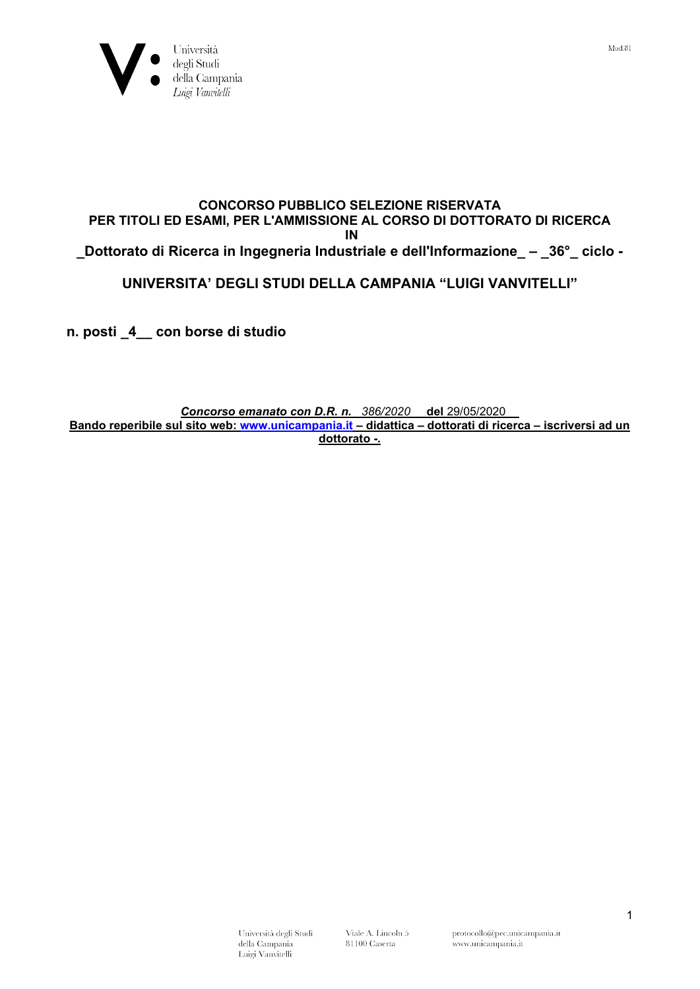

### CONCORSO PUBBLICO SELEZIONE RISERVATA PER TITOLI ED ESAMI, PER L'AMMISSIONE AL CORSO DI DOTTORATO DI RICERCA IN \_Dottorato di Ricerca in Ingegneria Industriale e dell'Informazione\_ – \_36°\_ ciclo -

## UNIVERSITA' DEGLI STUDI DELLA CAMPANIA "LUIGI VANVITELLI"

n. posti \_4\_\_ con borse di studio

#### Concorso emanato con D.R. n. 386/2020 del 29/05/2020 Bando reperibile sul sito web: www.unicampania.it – didattica – dottorati di ricerca – iscriversi ad un dottorato -.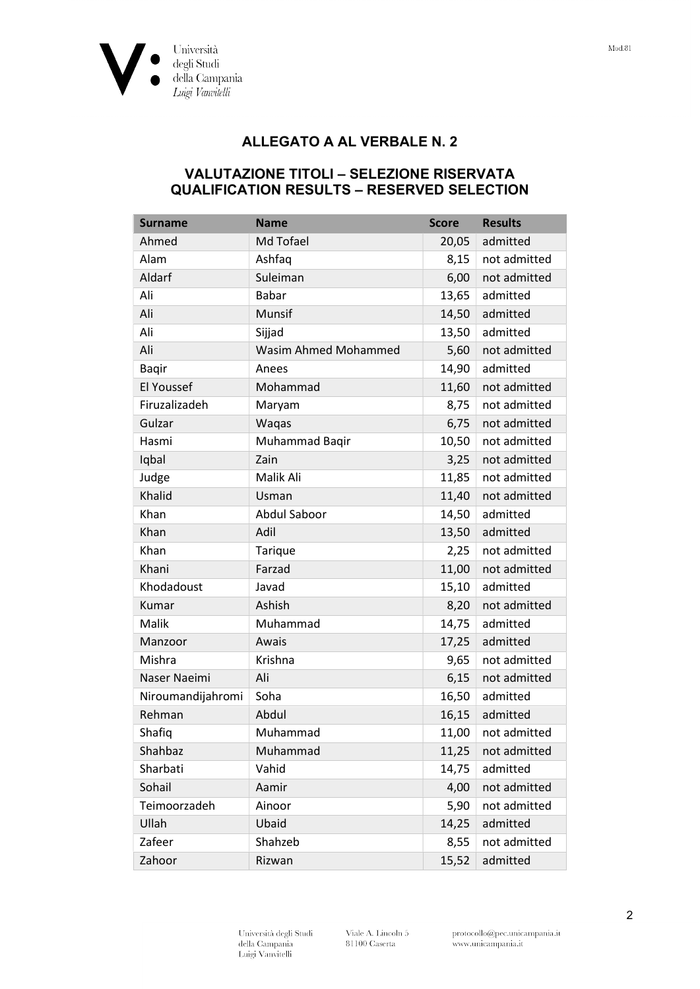

# ALLEGATO A AL VERBALE N. 2

### VALUTAZIONE TITOLI – SELEZIONE RISERVATA QUALIFICATION RESULTS – RESERVED SELECTION

| <b>Surname</b>    | <b>Name</b>                 | <b>Score</b> | <b>Results</b> |
|-------------------|-----------------------------|--------------|----------------|
| Ahmed             | Md Tofael                   | 20,05        | admitted       |
| Alam              | Ashfaq                      | 8,15         | not admitted   |
| Aldarf            | Suleiman                    | 6,00         | not admitted   |
| Ali               | <b>Babar</b>                | 13,65        | admitted       |
| Ali               | Munsif                      | 14,50        | admitted       |
| Ali               | Sijjad                      | 13,50        | admitted       |
| Ali               | <b>Wasim Ahmed Mohammed</b> | 5,60         | not admitted   |
| <b>Bagir</b>      | Anees                       | 14,90        | admitted       |
| El Youssef        | Mohammad                    | 11,60        | not admitted   |
| Firuzalizadeh     | Maryam                      | 8,75         | not admitted   |
| Gulzar            | Waqas                       | 6,75         | not admitted   |
| Hasmi             | Muhammad Baqir              | 10,50        | not admitted   |
| Iqbal             | Zain                        | 3,25         | not admitted   |
| Judge             | Malik Ali                   | 11,85        | not admitted   |
| Khalid            | Usman                       | 11,40        | not admitted   |
| Khan              | <b>Abdul Saboor</b>         | 14,50        | admitted       |
| Khan              | Adil                        | 13,50        | admitted       |
| Khan              | Tarique                     | 2,25         | not admitted   |
| Khani             | Farzad                      | 11,00        | not admitted   |
| Khodadoust        | Javad                       | 15,10        | admitted       |
| Kumar             | Ashish                      | 8,20         | not admitted   |
| Malik             | Muhammad                    | 14,75        | admitted       |
| Manzoor           | Awais                       | 17,25        | admitted       |
| Mishra            | Krishna                     | 9,65         | not admitted   |
| Naser Naeimi      | Ali                         | 6,15         | not admitted   |
| Niroumandijahromi | Soha                        | 16,50        | admitted       |
| Rehman            | Abdul                       | 16,15        | admitted       |
| Shafiq            | Muhammad                    | 11,00        | not admitted   |
| Shahbaz           | Muhammad                    | 11,25        | not admitted   |
| Sharbati          | Vahid                       | 14,75        | admitted       |
| Sohail            | Aamir                       | 4,00         | not admitted   |
| Teimoorzadeh      | Ainoor                      | 5,90         | not admitted   |
| Ullah             | Ubaid                       | 14,25        | admitted       |
| Zafeer            | Shahzeb                     | 8,55         | not admitted   |
| Zahoor            | Rizwan                      | 15,52        | admitted       |